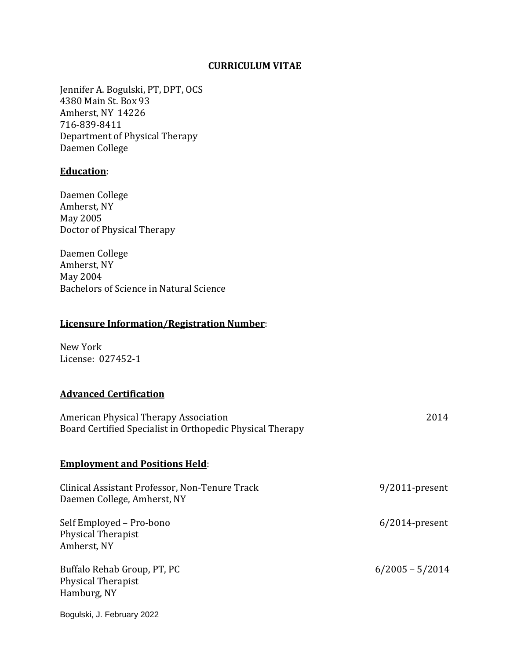### **CURRICULUM VITAE**

Jennifer A. Bogulski, PT, DPT, OCS 4380 Main St. Box 93 Amherst, NY 14226 716-839-8411 Department of Physical Therapy Daemen College

# **Education**:

Daemen College Amherst, NY May 2005 Doctor of Physical Therapy

Daemen College Amherst, NY May 2004 Bachelors of Science in Natural Science

## **Licensure Information/Registration Number**:

New York License: 027452-1

# **Advanced Certification**

| American Physical Therapy Association<br>Board Certified Specialist in Orthopedic Physical Therapy | 2014              |
|----------------------------------------------------------------------------------------------------|-------------------|
| <b>Employment and Positions Held:</b>                                                              |                   |
| Clinical Assistant Professor, Non-Tenure Track<br>Daemen College, Amherst, NY                      | $9/2011$ -present |
| Self Employed - Pro-bono<br><b>Physical Therapist</b><br>Amherst, NY                               | $6/2014$ -present |
| Buffalo Rehab Group, PT, PC<br><b>Physical Therapist</b><br>Hamburg, NY                            | $6/2005 - 5/2014$ |
| Bogulski, J. February 2022                                                                         |                   |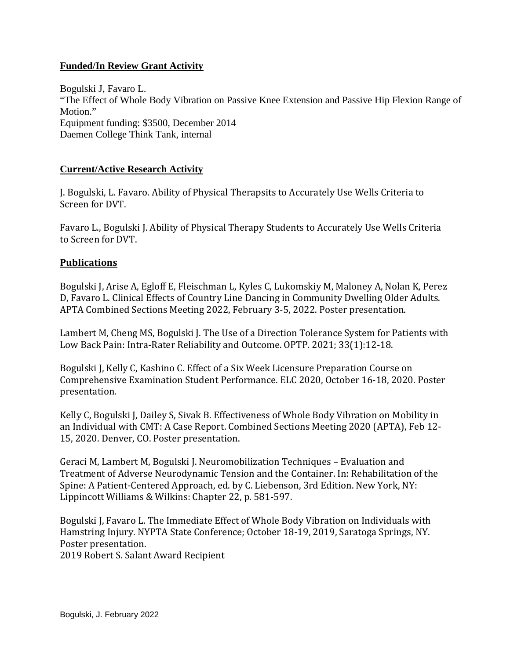# **Funded/In Review Grant Activity**

Bogulski J, Favaro L. "The Effect of Whole Body Vibration on Passive Knee Extension and Passive Hip Flexion Range of Motion." Equipment funding: \$3500, December 2014 Daemen College Think Tank, internal

## **Current/Active Research Activity**

J. Bogulski, L. Favaro. Ability of Physical Therapsits to Accurately Use Wells Criteria to Screen for DVT.

Favaro L., Bogulski J. Ability of Physical Therapy Students to Accurately Use Wells Criteria to Screen for DVT.

### **Publications**

Bogulski J, Arise A, Egloff E, Fleischman L, Kyles C, Lukomskiy M, Maloney A, Nolan K, Perez D, Favaro L. Clinical Effects of Country Line Dancing in Community Dwelling Older Adults. APTA Combined Sections Meeting 2022, February 3-5, 2022. Poster presentation.

Lambert M, Cheng MS, Bogulski J. The Use of a Direction Tolerance System for Patients with Low Back Pain: Intra-Rater Reliability and Outcome. OPTP. 2021; 33(1):12-18.

Bogulski J, Kelly C, Kashino C. Effect of a Six Week Licensure Preparation Course on Comprehensive Examination Student Performance. ELC 2020, October 16-18, 2020. Poster presentation.

Kelly C, Bogulski J, Dailey S, Sivak B. Effectiveness of Whole Body Vibration on Mobility in an Individual with CMT: A Case Report. Combined Sections Meeting 2020 (APTA), Feb 12- 15, 2020. Denver, CO. Poster presentation.

Geraci M, Lambert M, Bogulski J. Neuromobilization Techniques – Evaluation and Treatment of Adverse Neurodynamic Tension and the Container. In: Rehabilitation of the Spine: A Patient-Centered Approach, ed. by C. Liebenson, 3rd Edition. New York, NY: Lippincott Williams & Wilkins: Chapter 22, p. 581-597.

Bogulski J, Favaro L. The Immediate Effect of Whole Body Vibration on Individuals with Hamstring Injury. NYPTA State Conference; October 18-19, 2019, Saratoga Springs, NY. Poster presentation.

2019 Robert S. Salant Award Recipient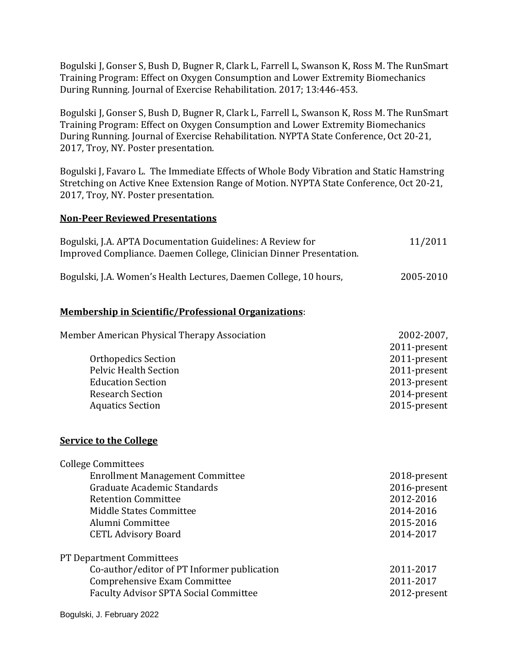Bogulski J, Gonser S, Bush D, Bugner R, Clark L, Farrell L, Swanson K, Ross M. The RunSmart Training Program: Effect on Oxygen Consumption and Lower Extremity Biomechanics During Running. Journal of Exercise Rehabilitation. 2017; 13:446-453.

Bogulski J, Gonser S, Bush D, Bugner R, Clark L, Farrell L, Swanson K, Ross M. The RunSmart Training Program: Effect on Oxygen Consumption and Lower Extremity Biomechanics During Running. Journal of Exercise Rehabilitation. NYPTA State Conference, Oct 20-21, 2017, Troy, NY. Poster presentation.

Bogulski J, Favaro L. The Immediate Effects of Whole Body Vibration and Static Hamstring Stretching on Active Knee Extension Range of Motion. NYPTA State Conference, Oct 20-21, 2017, Troy, NY. Poster presentation.

### **Non-Peer Reviewed Presentations**

| Bogulski, J.A. APTA Documentation Guidelines: A Review for          | 11/2011 |
|---------------------------------------------------------------------|---------|
| Improved Compliance. Daemen College, Clinician Dinner Presentation. |         |
|                                                                     |         |

Bogulski, J.A. Women's Health Lectures, Daemen College, 10 hours, 2005-2010

### **Membership in Scientific/Professional Organizations**:

| Member American Physical Therapy Association | 2002-2007,   |
|----------------------------------------------|--------------|
|                                              | 2011-present |
| <b>Orthopedics Section</b>                   | 2011-present |
| <b>Pelvic Health Section</b>                 | 2011-present |
| <b>Education Section</b>                     | 2013-present |
| <b>Research Section</b>                      | 2014-present |
| <b>Aquatics Section</b>                      | 2015-present |
|                                              |              |

### **Service to the College**

| <b>College Committees</b>                    |              |
|----------------------------------------------|--------------|
| <b>Enrollment Management Committee</b>       | 2018-present |
| Graduate Academic Standards                  | 2016-present |
| <b>Retention Committee</b>                   | 2012-2016    |
| Middle States Committee                      | 2014-2016    |
| Alumni Committee                             | 2015-2016    |
| <b>CETL Advisory Board</b>                   | 2014-2017    |
| <b>PT Department Committees</b>              |              |
| Co-author/editor of PT Informer publication  | 2011-2017    |
| Comprehensive Exam Committee                 | 2011-2017    |
| <b>Faculty Advisor SPTA Social Committee</b> | 2012-present |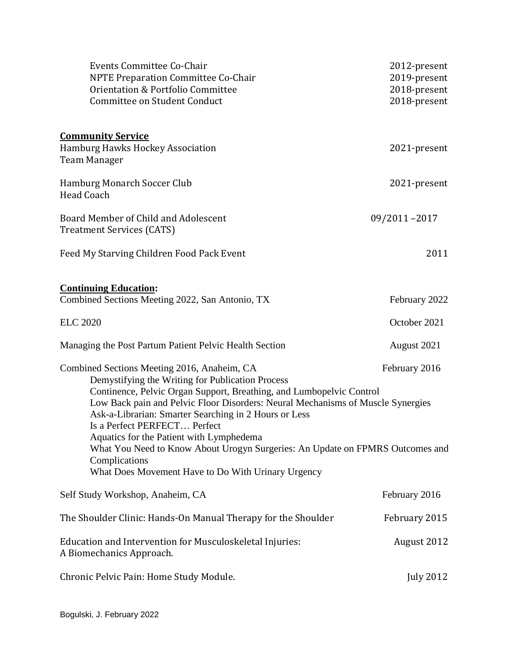| Events Committee Co-Chair                                                                                                                               | 2012-present                 |
|---------------------------------------------------------------------------------------------------------------------------------------------------------|------------------------------|
| NPTE Preparation Committee Co-Chair<br>Orientation & Portfolio Committee                                                                                | 2019-present                 |
| Committee on Student Conduct                                                                                                                            | 2018-present<br>2018-present |
|                                                                                                                                                         |                              |
| <b>Community Service</b>                                                                                                                                |                              |
| <b>Hamburg Hawks Hockey Association</b>                                                                                                                 | 2021-present                 |
| <b>Team Manager</b>                                                                                                                                     |                              |
| Hamburg Monarch Soccer Club                                                                                                                             | 2021-present                 |
| <b>Head Coach</b>                                                                                                                                       |                              |
| Board Member of Child and Adolescent                                                                                                                    | 09/2011-2017                 |
| <b>Treatment Services (CATS)</b>                                                                                                                        |                              |
| Feed My Starving Children Food Pack Event                                                                                                               | 2011                         |
|                                                                                                                                                         |                              |
| <b>Continuing Education:</b>                                                                                                                            |                              |
| Combined Sections Meeting 2022, San Antonio, TX                                                                                                         | February 2022                |
| <b>ELC 2020</b>                                                                                                                                         | October 2021                 |
| Managing the Post Partum Patient Pelvic Health Section                                                                                                  | August 2021                  |
| Combined Sections Meeting 2016, Anaheim, CA                                                                                                             | February 2016                |
| Demystifying the Writing for Publication Process                                                                                                        |                              |
| Continence, Pelvic Organ Support, Breathing, and Lumbopelvic Control<br>Low Back pain and Pelvic Floor Disorders: Neural Mechanisms of Muscle Synergies |                              |
| Ask-a-Librarian: Smarter Searching in 2 Hours or Less                                                                                                   |                              |
| Is a Perfect PERFECT Perfect                                                                                                                            |                              |
| Aquatics for the Patient with Lymphedema                                                                                                                |                              |
| What You Need to Know About Urogyn Surgeries: An Update on FPMRS Outcomes and<br>Complications                                                          |                              |
| What Does Movement Have to Do With Urinary Urgency                                                                                                      |                              |
| Self Study Workshop, Anaheim, CA                                                                                                                        | February 2016                |
| The Shoulder Clinic: Hands-On Manual Therapy for the Shoulder                                                                                           | February 2015                |
| Education and Intervention for Musculoskeletal Injuries:                                                                                                | August 2012                  |
| A Biomechanics Approach.                                                                                                                                |                              |
| Chronic Pelvic Pain: Home Study Module.                                                                                                                 | <b>July 2012</b>             |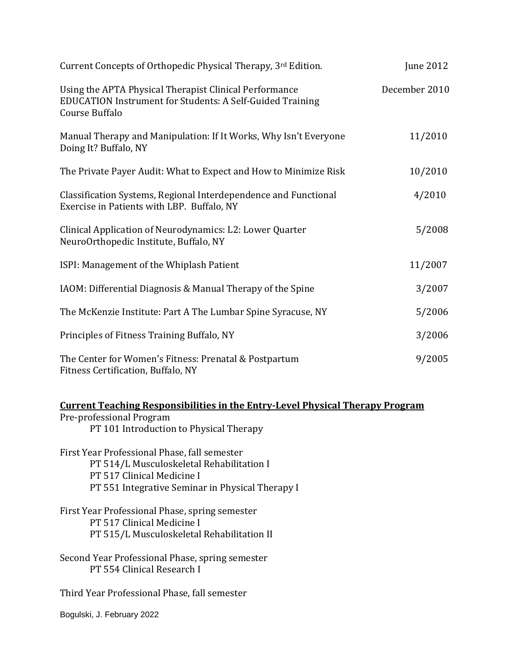| Current Concepts of Orthopedic Physical Therapy, 3rd Edition.                                                                         | June 2012     |
|---------------------------------------------------------------------------------------------------------------------------------------|---------------|
| Using the APTA Physical Therapist Clinical Performance<br>EDUCATION Instrument for Students: A Self-Guided Training<br>Course Buffalo | December 2010 |
| Manual Therapy and Manipulation: If It Works, Why Isn't Everyone<br>Doing It? Buffalo, NY                                             | 11/2010       |
| The Private Payer Audit: What to Expect and How to Minimize Risk                                                                      | 10/2010       |
| Classification Systems, Regional Interdependence and Functional<br>Exercise in Patients with LBP. Buffalo, NY                         | 4/2010        |
| Clinical Application of Neurodynamics: L2: Lower Quarter<br>NeuroOrthopedic Institute, Buffalo, NY                                    | 5/2008        |
| ISPI: Management of the Whiplash Patient                                                                                              | 11/2007       |
| IAOM: Differential Diagnosis & Manual Therapy of the Spine                                                                            | 3/2007        |
| The McKenzie Institute: Part A The Lumbar Spine Syracuse, NY                                                                          | 5/2006        |
| Principles of Fitness Training Buffalo, NY                                                                                            | 3/2006        |
| The Center for Women's Fitness: Prenatal & Postpartum<br>Fitness Certification, Buffalo, NY                                           | 9/2005        |

**Current Teaching Responsibilities in the Entry-Level Physical Therapy Program** Pre-professional Program PT 101 Introduction to Physical Therapy

First Year Professional Phase, fall semester PT 514/L Musculoskeletal Rehabilitation I PT 517 Clinical Medicine I PT 551 Integrative Seminar in Physical Therapy I

First Year Professional Phase, spring semester PT 517 Clinical Medicine I PT 515/L Musculoskeletal Rehabilitation II

Second Year Professional Phase, spring semester PT 554 Clinical Research I

Third Year Professional Phase, fall semester

Bogulski, J. February 2022